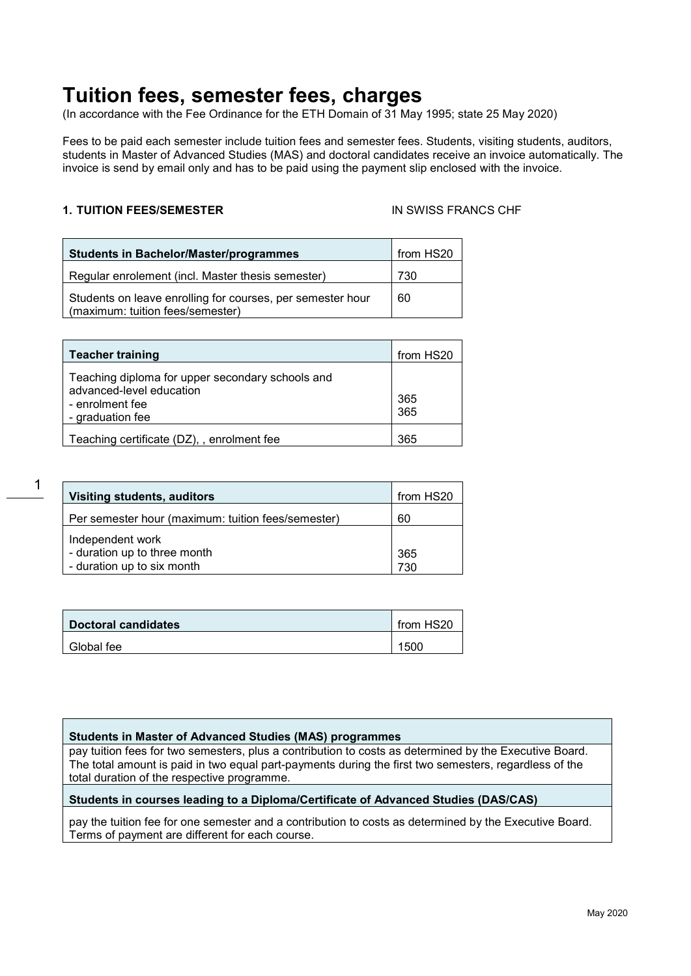# **Tuition fees, semester fees, charges**

(In accordance with the Fee Ordinance for the ETH Domain of 31 May 1995; state 25 May 2020)

Fees to be paid each semester include tuition fees and semester fees. Students, visiting students, auditors, students in Master of Advanced Studies (MAS) and doctoral candidates receive an invoice automatically. The invoice is send by email only and has to be paid using the payment slip enclosed with the invoice.

# **1. TUITION FEES/SEMESTER** IN SWISS FRANCS CHF

| <b>Students in Bachelor/Master/programmes</b>                                                  | from HS20 |
|------------------------------------------------------------------------------------------------|-----------|
| Regular enrolement (incl. Master thesis semester)                                              | 730       |
| Students on leave enrolling for courses, per semester hour<br>(maximum: tuition fees/semester) | 60        |

| <b>Teacher training</b>                                                                                             | from HS20  |
|---------------------------------------------------------------------------------------------------------------------|------------|
| Teaching diploma for upper secondary schools and<br>advanced-level education<br>- enrolment fee<br>- graduation fee | 365<br>365 |
| Teaching certificate (DZ), , enrolment fee                                                                          | 365        |

| Visiting students, auditors                        | from HS20 |
|----------------------------------------------------|-----------|
| Per semester hour (maximum: tuition fees/semester) | 60        |
| Independent work                                   |           |
| - duration up to three month                       | 365       |
| - duration up to six month                         | 730       |

| Doctoral candidates | $\mid$ from HS20 |
|---------------------|------------------|
| Global fee          | 1500             |

### **Students in Master of Advanced Studies (MAS) programmes**

pay tuition fees for two semesters, plus a contribution to costs as determined by the Executive Board. The total amount is paid in two equal part-payments during the first two semesters, regardless of the total duration of the respective programme.

### **Students in courses leading to a Diploma/Certificate of Advanced Studies (DAS/CAS)**

pay the tuition fee for one semester and a contribution to costs as determined by the Executive Board. Terms of payment are different for each course.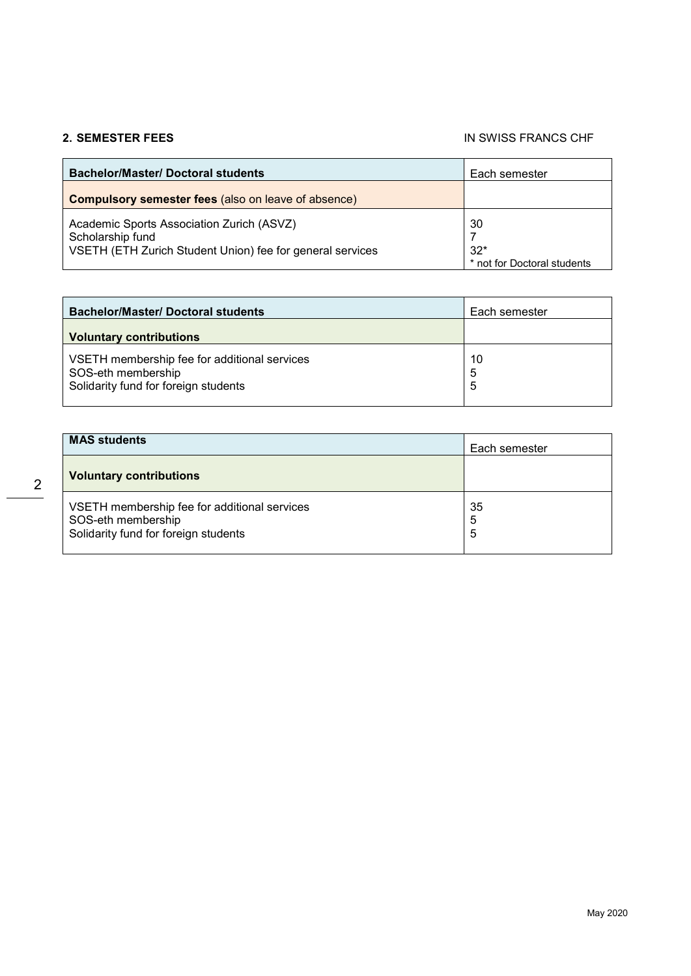### **2. SEMESTER FEES** IN SWISS FRANCS CHF

| <b>Bachelor/Master/ Doctoral students</b>                                                                                  | Each semester                              |
|----------------------------------------------------------------------------------------------------------------------------|--------------------------------------------|
| <b>Compulsory semester fees (also on leave of absence)</b>                                                                 |                                            |
| Academic Sports Association Zurich (ASVZ)<br>Scholarship fund<br>VSETH (ETH Zurich Student Union) fee for general services | 30<br>$32*$<br>* not for Doctoral students |

| <b>Bachelor/Master/ Doctoral students</b>                                                                  | Each semester |
|------------------------------------------------------------------------------------------------------------|---------------|
| <b>Voluntary contributions</b>                                                                             |               |
| VSETH membership fee for additional services<br>SOS-eth membership<br>Solidarity fund for foreign students | 10<br>5<br>5  |

| <b>MAS students</b>                                                                                        | Each semester |
|------------------------------------------------------------------------------------------------------------|---------------|
| <b>Voluntary contributions</b>                                                                             |               |
| VSETH membership fee for additional services<br>SOS-eth membership<br>Solidarity fund for foreign students | 35<br>5<br>5  |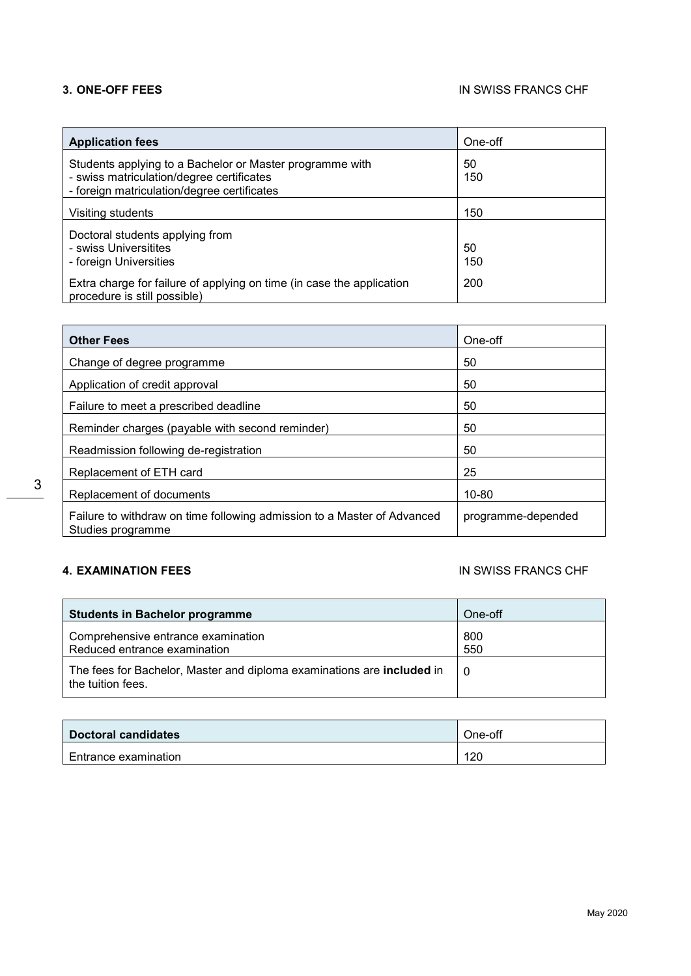| <b>Application fees</b>                                                                                                                              | One-off   |
|------------------------------------------------------------------------------------------------------------------------------------------------------|-----------|
| Students applying to a Bachelor or Master programme with<br>- swiss matriculation/degree certificates<br>- foreign matriculation/degree certificates | 50<br>150 |
| Visiting students                                                                                                                                    | 150       |
| Doctoral students applying from<br>- swiss Universitites<br>- foreign Universities                                                                   | 50<br>150 |
| Extra charge for failure of applying on time (in case the application<br>procedure is still possible)                                                | 200       |

| <b>Other Fees</b>                                                                            | One-off            |
|----------------------------------------------------------------------------------------------|--------------------|
| Change of degree programme                                                                   | 50                 |
| Application of credit approval                                                               | 50                 |
| Failure to meet a prescribed deadline                                                        | 50                 |
| Reminder charges (payable with second reminder)                                              | 50                 |
| Readmission following de-registration                                                        | 50                 |
| Replacement of ETH card                                                                      | 25                 |
| Replacement of documents                                                                     | $10 - 80$          |
| Failure to withdraw on time following admission to a Master of Advanced<br>Studies programme | programme-depended |

## **4. EXAMINATION FEES** IN SWISS FRANCS CHF

| <b>Students in Bachelor programme</b>                                                       | One-off     |
|---------------------------------------------------------------------------------------------|-------------|
| Comprehensive entrance examination<br>Reduced entrance examination                          | 800<br>550  |
| The fees for Bachelor, Master and diploma examinations are included in<br>the tuition fees. | $\mathbf 0$ |

| Doctoral candidates  | One-off |
|----------------------|---------|
| Entrance examination | 120     |